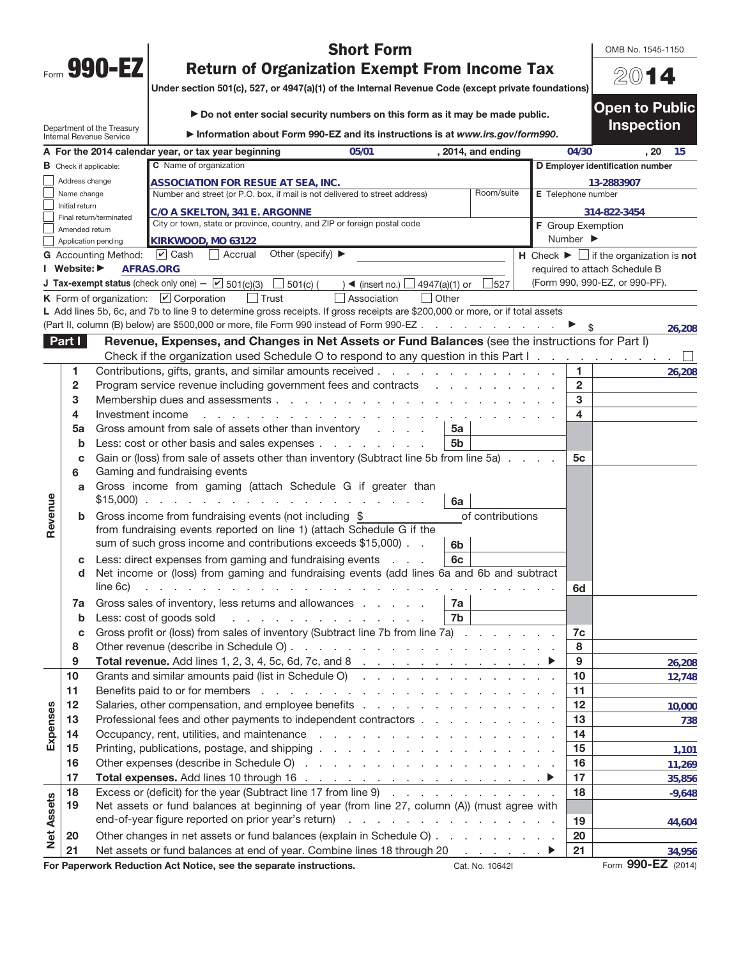| Form | <b>gn_</b><br>$\blacksquare$ |  |
|------|------------------------------|--|

OMB No. 1545-1150

20**14**

**Open to Public Inspection** 

## **Short Form<br>
Return of Organization Exempt From Income Tax**

**Return of Organization Exempt From Income Tax Under section 501(c), 527, or 4947(a)(1) of the Internal Revenue Code (except private foundations)**

| ▶ Do not enter social security numbers on this form as it may be made public. |  |
|-------------------------------------------------------------------------------|--|
|-------------------------------------------------------------------------------|--|

| Information about Form 990-EZ and its instructions is at www.irs.gov/form990. |
|-------------------------------------------------------------------------------|
|                                                                               |

|                   |                                                                                                          | Department of the Treasury<br><b>Internal Revenue Service</b> | Information about Form 990-EZ and its instructions is at www.irs.gov/form990.                                                                                                                                                                                                          |                                               |                |                                                                                                                                                                                                                                   |  |                         | mspecuon                                                        |                 |
|-------------------|----------------------------------------------------------------------------------------------------------|---------------------------------------------------------------|----------------------------------------------------------------------------------------------------------------------------------------------------------------------------------------------------------------------------------------------------------------------------------------|-----------------------------------------------|----------------|-----------------------------------------------------------------------------------------------------------------------------------------------------------------------------------------------------------------------------------|--|-------------------------|-----------------------------------------------------------------|-----------------|
|                   |                                                                                                          |                                                               | A For the 2014 calendar year, or tax year beginning                                                                                                                                                                                                                                    | 05/01                                         |                | , 2014, and ending                                                                                                                                                                                                                |  | 04/30                   | , 20                                                            | - 15            |
|                   |                                                                                                          | <b>B</b> Check if applicable:                                 | C Name of organization                                                                                                                                                                                                                                                                 |                                               |                |                                                                                                                                                                                                                                   |  |                         | D Employer identification number                                |                 |
|                   | Address change                                                                                           |                                                               | ASSOCIATION FOR RESUE AT SEA, INC.                                                                                                                                                                                                                                                     |                                               |                |                                                                                                                                                                                                                                   |  |                         | 13-2883907                                                      |                 |
|                   | Room/suite<br>Number and street (or P.O. box, if mail is not delivered to street address)<br>Name change |                                                               |                                                                                                                                                                                                                                                                                        | E Telephone number                            |                |                                                                                                                                                                                                                                   |  |                         |                                                                 |                 |
|                   | Initial return                                                                                           | Final return/terminated                                       | C/O A SKELTON, 341 E. ARGONNE                                                                                                                                                                                                                                                          |                                               |                |                                                                                                                                                                                                                                   |  |                         | 314-822-3454                                                    |                 |
|                   | Amended return                                                                                           |                                                               | City or town, state or province, country, and ZIP or foreign postal code                                                                                                                                                                                                               |                                               |                |                                                                                                                                                                                                                                   |  |                         | <b>F</b> Group Exemption                                        |                 |
|                   |                                                                                                          | Application pending                                           | KIRKWOOD, MO 63122                                                                                                                                                                                                                                                                     |                                               |                |                                                                                                                                                                                                                                   |  | Number ▶                |                                                                 |                 |
|                   |                                                                                                          | <b>G</b> Accounting Method:                                   | Other (specify) $\blacktriangleright$<br>$\cup$ Cash<br>  Accrual                                                                                                                                                                                                                      |                                               |                |                                                                                                                                                                                                                                   |  |                         | $H$ Check $\blacktriangleright \Box$ if the organization is not |                 |
|                   | I Website: ▶                                                                                             |                                                               | AFRAS.ORG                                                                                                                                                                                                                                                                              |                                               |                |                                                                                                                                                                                                                                   |  |                         | required to attach Schedule B                                   |                 |
|                   |                                                                                                          |                                                               | <b>J Tax-exempt status</b> (check only one) $ \boxed{\mathbf{v}}$ 501(c)(3)<br>$\Box$ 501(c) (                                                                                                                                                                                         | $\rightarrow$ (insert no.) $\Box$             | 4947(a)(1) or  | 527                                                                                                                                                                                                                               |  |                         | (Form 990, 990-EZ, or 990-PF).                                  |                 |
|                   |                                                                                                          |                                                               | K Form of organization: $\boxed{\mathbf{v}}$ Corporation<br>$\vert$ Trust                                                                                                                                                                                                              | Association                                   | $\vert$ Other  |                                                                                                                                                                                                                                   |  |                         |                                                                 |                 |
|                   |                                                                                                          |                                                               | L Add lines 5b, 6c, and 7b to line 9 to determine gross receipts. If gross receipts are \$200,000 or more, or if total assets                                                                                                                                                          |                                               |                |                                                                                                                                                                                                                                   |  |                         |                                                                 |                 |
|                   |                                                                                                          |                                                               | (Part II, column (B) below) are \$500,000 or more, file Form 990 instead of Form 990-EZ                                                                                                                                                                                                |                                               |                |                                                                                                                                                                                                                                   |  |                         |                                                                 | 26,208          |
|                   | Part I                                                                                                   |                                                               | Revenue, Expenses, and Changes in Net Assets or Fund Balances (see the instructions for Part I)                                                                                                                                                                                        |                                               |                |                                                                                                                                                                                                                                   |  |                         |                                                                 |                 |
|                   |                                                                                                          |                                                               | Check if the organization used Schedule O to respond to any question in this Part I.                                                                                                                                                                                                   |                                               |                |                                                                                                                                                                                                                                   |  |                         |                                                                 |                 |
|                   | 1                                                                                                        |                                                               | Contributions, gifts, grants, and similar amounts received                                                                                                                                                                                                                             |                                               |                |                                                                                                                                                                                                                                   |  | 1                       |                                                                 | 26,208          |
|                   | 2                                                                                                        |                                                               | Program service revenue including government fees and contracts                                                                                                                                                                                                                        |                                               |                | a de la construcción de la construcción de la construcción de la construcción de la construcción de la construcción<br>Del construcción de la construcción de la construcción de la construcción de la construcción de la constru |  | $\overline{\mathbf{2}}$ |                                                                 |                 |
|                   | 3                                                                                                        |                                                               | Membership dues and assessments                                                                                                                                                                                                                                                        |                                               |                |                                                                                                                                                                                                                                   |  | 3                       |                                                                 |                 |
|                   | 4                                                                                                        | Investment income                                             |                                                                                                                                                                                                                                                                                        |                                               |                |                                                                                                                                                                                                                                   |  | 4                       |                                                                 |                 |
|                   | 5a                                                                                                       |                                                               | Gross amount from sale of assets other than inventory                                                                                                                                                                                                                                  |                                               | 5a             |                                                                                                                                                                                                                                   |  |                         |                                                                 |                 |
|                   | b                                                                                                        |                                                               | Less: cost or other basis and sales expenses                                                                                                                                                                                                                                           |                                               | 5 <sub>b</sub> |                                                                                                                                                                                                                                   |  |                         |                                                                 |                 |
|                   | C<br>6                                                                                                   |                                                               | Gain or (loss) from sale of assets other than inventory (Subtract line 5b from line 5a)<br>Gaming and fundraising events                                                                                                                                                               |                                               |                |                                                                                                                                                                                                                                   |  | 5c                      |                                                                 |                 |
|                   |                                                                                                          |                                                               | Gross income from gaming (attach Schedule G if greater than                                                                                                                                                                                                                            |                                               |                |                                                                                                                                                                                                                                   |  |                         |                                                                 |                 |
|                   | a                                                                                                        | $$15,000$ ).                                                  | the contract of the contract of the                                                                                                                                                                                                                                                    |                                               | 6a             |                                                                                                                                                                                                                                   |  |                         |                                                                 |                 |
| Revenue           | $\mathbf b$                                                                                              |                                                               | Gross income from fundraising events (not including \$                                                                                                                                                                                                                                 |                                               |                | of contributions                                                                                                                                                                                                                  |  |                         |                                                                 |                 |
|                   |                                                                                                          |                                                               | from fundraising events reported on line 1) (attach Schedule G if the                                                                                                                                                                                                                  |                                               |                |                                                                                                                                                                                                                                   |  |                         |                                                                 |                 |
|                   |                                                                                                          |                                                               | sum of such gross income and contributions exceeds \$15,000).                                                                                                                                                                                                                          |                                               | 6 <sub>b</sub> |                                                                                                                                                                                                                                   |  |                         |                                                                 |                 |
|                   | C                                                                                                        |                                                               | Less: direct expenses from gaming and fundraising events                                                                                                                                                                                                                               | <b>Service</b>                                | 6c             |                                                                                                                                                                                                                                   |  |                         |                                                                 |                 |
|                   | d                                                                                                        |                                                               | Net income or (loss) from gaming and fundraising events (add lines 6a and 6b and subtract                                                                                                                                                                                              |                                               |                |                                                                                                                                                                                                                                   |  |                         |                                                                 |                 |
|                   |                                                                                                          | line 6c)                                                      |                                                                                                                                                                                                                                                                                        |                                               |                |                                                                                                                                                                                                                                   |  | 6d                      |                                                                 |                 |
|                   | 7a                                                                                                       |                                                               | Gross sales of inventory, less returns and allowances                                                                                                                                                                                                                                  |                                               | 7a             |                                                                                                                                                                                                                                   |  |                         |                                                                 |                 |
|                   | b                                                                                                        |                                                               | Less: cost of goods sold<br>the contract of the contract of the contract of the contract of the contract of the contract of the contract of                                                                                                                                            |                                               | 7b             |                                                                                                                                                                                                                                   |  |                         |                                                                 |                 |
|                   | c                                                                                                        |                                                               | Gross profit or (loss) from sales of inventory (Subtract line 7b from line 7a)                                                                                                                                                                                                         |                                               |                |                                                                                                                                                                                                                                   |  | 7c                      |                                                                 |                 |
|                   | 8                                                                                                        |                                                               | Other revenue (describe in Schedule O).                                                                                                                                                                                                                                                | and the company of the company of the company |                |                                                                                                                                                                                                                                   |  | 8                       |                                                                 |                 |
|                   | 9                                                                                                        |                                                               | <b>Total revenue.</b> Add lines 1, 2, 3, 4, 5c, 6d, 7c, and 8                                                                                                                                                                                                                          |                                               |                |                                                                                                                                                                                                                                   |  | 9                       |                                                                 | 26,208          |
|                   | 10<br>11                                                                                                 |                                                               | Grants and similar amounts paid (list in Schedule O)<br>Benefits paid to or for members (e.g. contracts) and contracts are a series of the series of the series of the series of the series of the series of the series of the series of the series of the series of the series of the |                                               |                |                                                                                                                                                                                                                                   |  | 10<br>11                |                                                                 | 12,748          |
|                   | 12                                                                                                       |                                                               |                                                                                                                                                                                                                                                                                        |                                               |                |                                                                                                                                                                                                                                   |  | 12                      |                                                                 |                 |
| Expenses          | 13                                                                                                       |                                                               | Professional fees and other payments to independent contractors                                                                                                                                                                                                                        |                                               |                |                                                                                                                                                                                                                                   |  | 13                      |                                                                 | 10,000          |
|                   | 14                                                                                                       |                                                               |                                                                                                                                                                                                                                                                                        |                                               |                |                                                                                                                                                                                                                                   |  | 14                      |                                                                 | 738             |
|                   | 15                                                                                                       |                                                               |                                                                                                                                                                                                                                                                                        |                                               |                |                                                                                                                                                                                                                                   |  | 15                      |                                                                 |                 |
|                   | 16                                                                                                       |                                                               |                                                                                                                                                                                                                                                                                        |                                               |                |                                                                                                                                                                                                                                   |  | 16                      |                                                                 | 1,101<br>11,269 |
|                   | 17                                                                                                       |                                                               |                                                                                                                                                                                                                                                                                        |                                               |                |                                                                                                                                                                                                                                   |  | 17                      |                                                                 | 35,856          |
|                   | 18                                                                                                       |                                                               | Excess or (deficit) for the year (Subtract line 17 from line 9)                                                                                                                                                                                                                        |                                               |                |                                                                                                                                                                                                                                   |  | 18                      |                                                                 | $-9,648$        |
| <b>Net Assets</b> | 19                                                                                                       |                                                               | Net assets or fund balances at beginning of year (from line 27, column (A)) (must agree with                                                                                                                                                                                           |                                               |                |                                                                                                                                                                                                                                   |  |                         |                                                                 |                 |
|                   |                                                                                                          |                                                               |                                                                                                                                                                                                                                                                                        |                                               |                |                                                                                                                                                                                                                                   |  | 19                      |                                                                 | 44,604          |
|                   | 20                                                                                                       |                                                               | Other changes in net assets or fund balances (explain in Schedule O)                                                                                                                                                                                                                   |                                               |                |                                                                                                                                                                                                                                   |  | 20                      |                                                                 |                 |
|                   | 21                                                                                                       |                                                               | Net assets or fund balances at end of year. Combine lines 18 through 20                                                                                                                                                                                                                |                                               |                | $\mathbb{R}^n$ . The set of the $\mathbb{R}^n$                                                                                                                                                                                    |  | 21                      |                                                                 | 34,956          |
|                   |                                                                                                          |                                                               | For Paperwork Reduction Act Notice, see the separate instructions.                                                                                                                                                                                                                     |                                               |                | Cat. No. 10642I                                                                                                                                                                                                                   |  |                         | Form 990-EZ (2014)                                              |                 |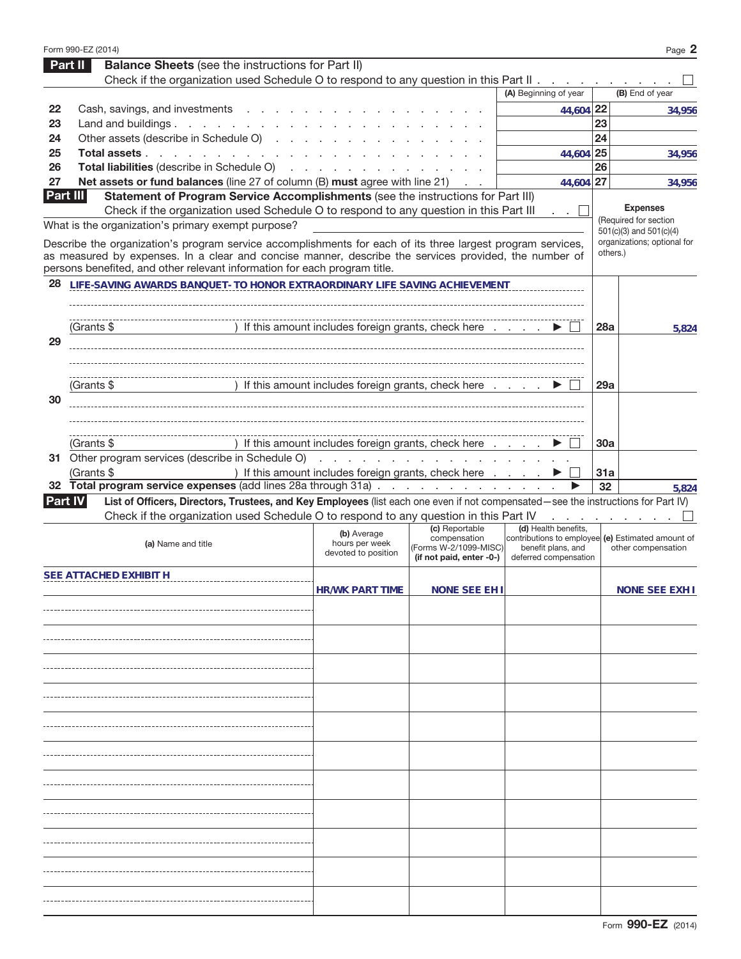|          | Form 990-EZ (2014)                                                                                                                                                                                                        |                                                      |                                                     |                                                                         |     | Page 2                                   |
|----------|---------------------------------------------------------------------------------------------------------------------------------------------------------------------------------------------------------------------------|------------------------------------------------------|-----------------------------------------------------|-------------------------------------------------------------------------|-----|------------------------------------------|
|          | <b>Balance Sheets</b> (see the instructions for Part II)<br><b>Part II</b>                                                                                                                                                |                                                      |                                                     |                                                                         |     |                                          |
|          | Check if the organization used Schedule O to respond to any question in this Part II                                                                                                                                      |                                                      |                                                     |                                                                         |     |                                          |
|          |                                                                                                                                                                                                                           |                                                      |                                                     | (A) Beginning of year                                                   |     | (B) End of year                          |
| 22       | Cash, savings, and investments                                                                                                                                                                                            |                                                      |                                                     | 44,604 22                                                               |     | 34,956                                   |
| 23       | Land and buildings                                                                                                                                                                                                        |                                                      |                                                     |                                                                         | 23  |                                          |
| 24       | Other assets (describe in Schedule O)                                                                                                                                                                                     |                                                      |                                                     |                                                                         | 24  |                                          |
| 25       | Total assets                                                                                                                                                                                                              |                                                      |                                                     | 44,604 25                                                               |     | 34.956                                   |
| 26       | Total liabilities (describe in Schedule O)                                                                                                                                                                                |                                                      |                                                     |                                                                         | 26  |                                          |
| 27       | Net assets or fund balances (line 27 of column (B) must agree with line 21)                                                                                                                                               |                                                      | $\mathcal{L}=\mathcal{L}$                           | 44,604 27                                                               |     | 34,956                                   |
| Part III | Statement of Program Service Accomplishments (see the instructions for Part III)                                                                                                                                          |                                                      |                                                     |                                                                         |     |                                          |
|          | Check if the organization used Schedule O to respond to any question in this Part III                                                                                                                                     |                                                      |                                                     | <b>Contract</b>                                                         |     | <b>Expenses</b><br>(Required for section |
|          | What is the organization's primary exempt purpose?                                                                                                                                                                        |                                                      |                                                     |                                                                         |     | 501(c)(3) and 501(c)(4)                  |
|          | Describe the organization's program service accomplishments for each of its three largest program services,                                                                                                               |                                                      |                                                     |                                                                         |     | organizations; optional for              |
|          | as measured by expenses. In a clear and concise manner, describe the services provided, the number of                                                                                                                     |                                                      |                                                     |                                                                         |     | others.)                                 |
|          | persons benefited, and other relevant information for each program title.                                                                                                                                                 |                                                      |                                                     |                                                                         |     |                                          |
| 28       | LIFE-SAVING AWARDS BANQUET- TO HONOR EXTRAORDINARY LIFE SAVING ACHIEVEMENT                                                                                                                                                |                                                      |                                                     |                                                                         |     |                                          |
|          |                                                                                                                                                                                                                           |                                                      |                                                     |                                                                         |     |                                          |
|          |                                                                                                                                                                                                                           |                                                      |                                                     |                                                                         |     |                                          |
| 29       | (Grants \$                                                                                                                                                                                                                | ) If this amount includes foreign grants, check here |                                                     |                                                                         | 28a | 5,824                                    |
|          |                                                                                                                                                                                                                           |                                                      |                                                     |                                                                         |     |                                          |
|          |                                                                                                                                                                                                                           |                                                      |                                                     |                                                                         |     |                                          |
|          | (Grants \$                                                                                                                                                                                                                | ) If this amount includes foreign grants, check here |                                                     |                                                                         | 29a |                                          |
| 30       |                                                                                                                                                                                                                           |                                                      |                                                     |                                                                         |     |                                          |
|          |                                                                                                                                                                                                                           |                                                      |                                                     |                                                                         |     |                                          |
|          |                                                                                                                                                                                                                           |                                                      |                                                     |                                                                         |     |                                          |
|          | (Grants $$$                                                                                                                                                                                                               | ) If this amount includes foreign grants, check here |                                                     |                                                                         | 30a |                                          |
|          | 31 Other program services (describe in Schedule O)                                                                                                                                                                        |                                                      | and the contract of the contract of the contract of |                                                                         |     |                                          |
|          | (Grants \$                                                                                                                                                                                                                | ) If this amount includes foreign grants, check here |                                                     |                                                                         | 31a |                                          |
|          | 32 Total program service expenses (add lines 28a through 31a)                                                                                                                                                             |                                                      |                                                     |                                                                         | 32  | 5,824                                    |
|          |                                                                                                                                                                                                                           |                                                      |                                                     |                                                                         |     |                                          |
|          | <b>Part IV</b>                                                                                                                                                                                                            |                                                      |                                                     |                                                                         |     |                                          |
|          | List of Officers, Directors, Trustees, and Key Employees (list each one even if not compensated-see the instructions for Part IV)<br>Check if the organization used Schedule O to respond to any question in this Part IV |                                                      |                                                     |                                                                         |     | and the company of the com-              |
|          |                                                                                                                                                                                                                           | (b) Average                                          | (c) Reportable                                      | (d) Health benefits,                                                    |     |                                          |
|          | (a) Name and title                                                                                                                                                                                                        | hours per week                                       | compensation<br>(Forms W-2/1099-MISC)               | contributions to employee (e) Estimated amount of<br>benefit plans, and |     | other compensation                       |
|          |                                                                                                                                                                                                                           | devoted to position                                  | (if not paid, enter -0-)                            | deferred compensation                                                   |     |                                          |
|          | SEE ATTACHED EXHIBIT H                                                                                                                                                                                                    |                                                      |                                                     |                                                                         |     |                                          |
|          |                                                                                                                                                                                                                           | <b>HR/WK PART TIME</b>                               | <b>NONE SEE EH I</b>                                |                                                                         |     | NONE SEE EXH I                           |
|          |                                                                                                                                                                                                                           |                                                      |                                                     |                                                                         |     |                                          |
|          |                                                                                                                                                                                                                           |                                                      |                                                     |                                                                         |     |                                          |
|          |                                                                                                                                                                                                                           |                                                      |                                                     |                                                                         |     |                                          |
|          |                                                                                                                                                                                                                           |                                                      |                                                     |                                                                         |     |                                          |
|          |                                                                                                                                                                                                                           |                                                      |                                                     |                                                                         |     |                                          |
|          |                                                                                                                                                                                                                           |                                                      |                                                     |                                                                         |     |                                          |
|          |                                                                                                                                                                                                                           |                                                      |                                                     |                                                                         |     |                                          |
|          |                                                                                                                                                                                                                           |                                                      |                                                     |                                                                         |     |                                          |
|          |                                                                                                                                                                                                                           |                                                      |                                                     |                                                                         |     |                                          |
|          |                                                                                                                                                                                                                           |                                                      |                                                     |                                                                         |     |                                          |
|          |                                                                                                                                                                                                                           |                                                      |                                                     |                                                                         |     |                                          |
|          |                                                                                                                                                                                                                           |                                                      |                                                     |                                                                         |     |                                          |
|          |                                                                                                                                                                                                                           |                                                      |                                                     |                                                                         |     |                                          |
|          |                                                                                                                                                                                                                           |                                                      |                                                     |                                                                         |     |                                          |
|          |                                                                                                                                                                                                                           |                                                      |                                                     |                                                                         |     |                                          |
|          |                                                                                                                                                                                                                           |                                                      |                                                     |                                                                         |     |                                          |
|          |                                                                                                                                                                                                                           |                                                      |                                                     |                                                                         |     |                                          |
|          |                                                                                                                                                                                                                           |                                                      |                                                     |                                                                         |     |                                          |
|          |                                                                                                                                                                                                                           |                                                      |                                                     |                                                                         |     |                                          |
|          |                                                                                                                                                                                                                           |                                                      |                                                     |                                                                         |     |                                          |
|          |                                                                                                                                                                                                                           |                                                      |                                                     |                                                                         |     |                                          |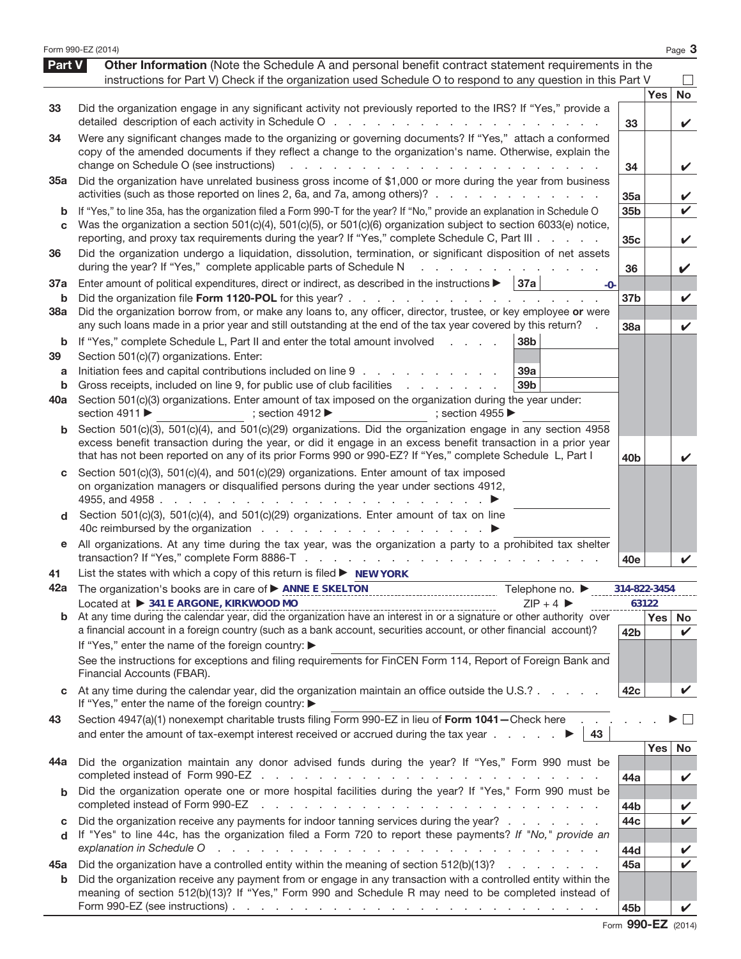|            | Form 990-EZ (2014)                                                                                                                                                                                                                                                        |                 |            | Page 3       |
|------------|---------------------------------------------------------------------------------------------------------------------------------------------------------------------------------------------------------------------------------------------------------------------------|-----------------|------------|--------------|
| Part V     | Other Information (Note the Schedule A and personal benefit contract statement requirements in the<br>instructions for Part V) Check if the organization used Schedule O to respond to any question in this Part V                                                        |                 |            |              |
|            |                                                                                                                                                                                                                                                                           |                 | <b>Yes</b> | No           |
| 33         | Did the organization engage in any significant activity not previously reported to the IRS? If "Yes," provide a<br>detailed description of each activity in Schedule O                                                                                                    | 33              |            | V            |
| 34         | Were any significant changes made to the organizing or governing documents? If "Yes," attach a conformed                                                                                                                                                                  |                 |            |              |
|            | copy of the amended documents if they reflect a change to the organization's name. Otherwise, explain the                                                                                                                                                                 |                 |            |              |
|            | change on Schedule O (see instructions)<br>de la construcción de la construcción de la construcción de la construcción de la construcción de la construcción de la construcción de la construcción de la construcción de la construcción de la construcción de la constru | 34              |            | $\checkmark$ |
| 35а        | Did the organization have unrelated business gross income of \$1,000 or more during the year from business<br>activities (such as those reported on lines 2, 6a, and 7a, among others)?                                                                                   |                 |            |              |
|            |                                                                                                                                                                                                                                                                           | 35a             |            | V            |
| b<br>C     | If "Yes," to line 35a, has the organization filed a Form 990-T for the year? If "No," provide an explanation in Schedule O<br>Was the organization a section 501(c)(4), 501(c)(5), or 501(c)(6) organization subject to section 6033(e) notice,                           | 35 <sub>b</sub> |            | ✓            |
|            | reporting, and proxy tax requirements during the year? If "Yes," complete Schedule C, Part III                                                                                                                                                                            | 35c             |            | V            |
| 36         | Did the organization undergo a liquidation, dissolution, termination, or significant disposition of net assets                                                                                                                                                            |                 |            |              |
|            | during the year? If "Yes," complete applicable parts of Schedule N<br>a na mana an an san a                                                                                                                                                                               | 36              |            | V            |
| 37a        | Enter amount of political expenditures, direct or indirect, as described in the instructions $\blacktriangleright$   37a<br>$-0-$                                                                                                                                         |                 |            |              |
| b          | Did the organization file Form 1120-POL for this year?                                                                                                                                                                                                                    | 37 <sub>b</sub> |            | V            |
| <b>38a</b> | Did the organization borrow from, or make any loans to, any officer, director, trustee, or key employee or were<br>any such loans made in a prior year and still outstanding at the end of the tax year covered by this return?                                           | 38a             |            | ✓            |
| b          | 38b<br>If "Yes," complete Schedule L, Part II and enter the total amount involved<br><b>Contractor</b>                                                                                                                                                                    |                 |            |              |
| 39         | Section 501(c)(7) organizations. Enter:                                                                                                                                                                                                                                   |                 |            |              |
| a          | Initiation fees and capital contributions included on line 9<br>39a                                                                                                                                                                                                       |                 |            |              |
| b          | Gross receipts, included on line 9, for public use of club facilities<br>39 <sub>b</sub>                                                                                                                                                                                  |                 |            |              |
| 40a        | Section 501(c)(3) organizations. Enter amount of tax imposed on the organization during the year under:                                                                                                                                                                   |                 |            |              |
|            | section 4911 ▶<br>; section 4912 $\blacktriangleright$<br>; section 4955                                                                                                                                                                                                  |                 |            |              |
| b          | Section 501(c)(3), 501(c)(4), and 501(c)(29) organizations. Did the organization engage in any section 4958<br>excess benefit transaction during the year, or did it engage in an excess benefit transaction in a prior year                                              |                 |            |              |
|            | that has not been reported on any of its prior Forms 990 or 990-EZ? If "Yes," complete Schedule L, Part I                                                                                                                                                                 | 40 <sub>b</sub> |            |              |
| С          | Section 501(c)(3), 501(c)(4), and 501(c)(29) organizations. Enter amount of tax imposed                                                                                                                                                                                   |                 |            |              |
|            | on organization managers or disqualified persons during the year under sections 4912,                                                                                                                                                                                     |                 |            |              |
|            |                                                                                                                                                                                                                                                                           |                 |            |              |
| d          | Section 501(c)(3), 501(c)(4), and 501(c)(29) organizations. Enter amount of tax on line                                                                                                                                                                                   |                 |            |              |
| е          | All organizations. At any time during the tax year, was the organization a party to a prohibited tax shelter                                                                                                                                                              |                 |            |              |
|            |                                                                                                                                                                                                                                                                           | 40e             |            |              |
| 41         | List the states with which a copy of this return is filed $\blacktriangleright$ NEW YORK                                                                                                                                                                                  |                 |            |              |
| 42a        | The organization's books are in care of ▶ ANNE E SKELTON<br>Telephone no. ▶                                                                                                                                                                                               | 314-822-3454    |            |              |
|            | Located at > 341 E ARGONE, KIRKWOOD MO<br>$ZIP + 4$                                                                                                                                                                                                                       | 63122           |            |              |
|            | a financial account in a foreign country (such as a bank account, securities account, or other financial account)?                                                                                                                                                        | 42 <sub>b</sub> | Yes        | No           |
|            | If "Yes," enter the name of the foreign country: ▶                                                                                                                                                                                                                        |                 |            | ✓            |
|            | See the instructions for exceptions and filing requirements for FinCEN Form 114, Report of Foreign Bank and                                                                                                                                                               |                 |            |              |
|            | Financial Accounts (FBAR).                                                                                                                                                                                                                                                |                 |            |              |
|            | At any time during the calendar year, did the organization maintain an office outside the U.S.?                                                                                                                                                                           | 42c             |            | V            |
|            | If "Yes," enter the name of the foreign country: ▶                                                                                                                                                                                                                        |                 |            |              |
| 43         | Section 4947(a)(1) nonexempt charitable trusts filing Form 990-EZ in lieu of Form 1041 - Check here<br>and enter the amount of tax-exempt interest received or accrued during the tax year $\ldots$ $\ldots$<br>43                                                        |                 |            |              |
|            |                                                                                                                                                                                                                                                                           |                 | <b>Yes</b> | No           |
| 44a        | Did the organization maintain any donor advised funds during the year? If "Yes," Form 990 must be                                                                                                                                                                         |                 |            |              |
|            |                                                                                                                                                                                                                                                                           | 44a             |            | V            |
|            | Did the organization operate one or more hospital facilities during the year? If "Yes," Form 990 must be                                                                                                                                                                  |                 |            |              |
|            | completed instead of Form 990-EZ<br>the contract of the contract of the contract of the contract of the contract of                                                                                                                                                       | 44b             |            | V            |
| C          | Did the organization receive any payments for indoor tanning services during the year?                                                                                                                                                                                    | 44c             |            | $\mathbf{v}$ |
| d          | If "Yes" to line 44c, has the organization filed a Form 720 to report these payments? If "No," provide an<br>explanation in Schedule O<br>and the contract of the contract of the contract of the contract of the contract of                                             | 44d             |            | V            |
| 45a        | Did the organization have a controlled entity within the meaning of section 512(b)(13)?                                                                                                                                                                                   | 45a             |            | $\mathbf{v}$ |
| b          | Did the organization receive any payment from or engage in any transaction with a controlled entity within the                                                                                                                                                            |                 |            |              |
|            | meaning of section 512(b)(13)? If "Yes," Form 990 and Schedule R may need to be completed instead of                                                                                                                                                                      |                 |            |              |
|            |                                                                                                                                                                                                                                                                           | 45 <sub>b</sub> |            |              |

|  | Form 990-EZ (2014) |  |
|--|--------------------|--|
|--|--------------------|--|